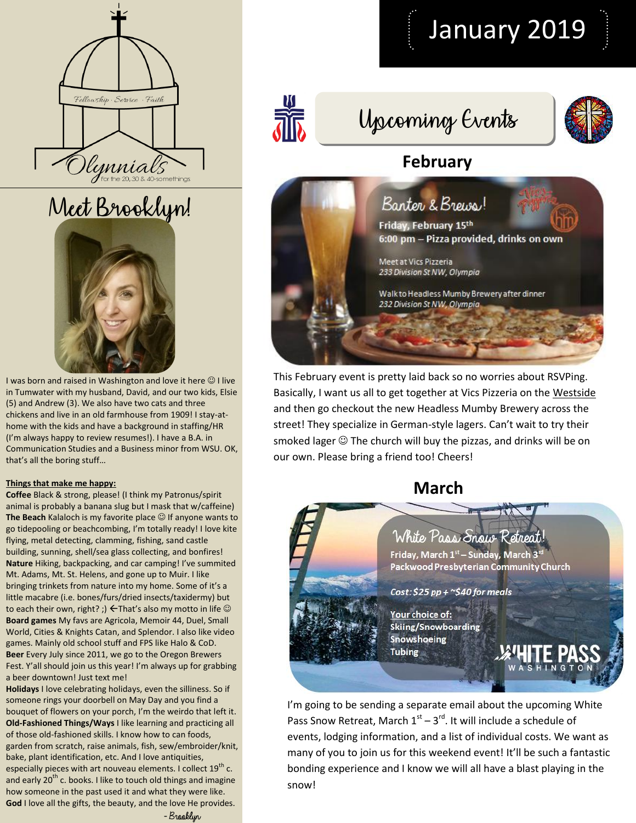





I was born and raised in Washington and love it here  $\odot$  I live in Tumwater with my husband, David, and our two kids, Elsie (5) and Andrew (3). We also have two cats and three chickens and live in an old farmhouse from 1909! I stay-athome with the kids and have a background in staffing/HR (I'm always happy to review resumes!). I have a B.A. in Communication Studies and a Business minor from WSU. OK, that's all the boring stuff…

#### **Things that make me happy:**

**Coffee** Black & strong, please! (I think my Patronus/spirit animal is probably a banana slug but I mask that w/caffeine) The Beach Kalaloch is my favorite place  $\odot$  If anyone wants to go tidepooling or beachcombing, I'm totally ready! I love kite flying, metal detecting, clamming, fishing, sand castle building, sunning, shell/sea glass collecting, and bonfires! **Nature** Hiking, backpacking, and car camping! I've summited Mt. Adams, Mt. St. Helens, and gone up to Muir. I like bringing trinkets from nature into my home. Some of it's a little macabre (i.e. bones/furs/dried insects/taxidermy) but to each their own, right? ;)  $\leftarrow$  That's also my motto in life  $\odot$ **Board games** My favs are Agricola, Memoir 44, Duel, Small World, Cities & Knights Catan, and Splendor. I also like video games. Mainly old school stuff and FPS like Halo & CoD. **Beer** Every July since 2011, we go to the Oregon Brewers Fest. Y'all should join us this year! I'm always up for grabbing a beer downtown! Just text me!

**Holidays** I love celebrating holidays, even the silliness. So if someone rings your doorbell on May Day and you find a bouquet of flowers on your porch, I'm the weirdo that left it. **Old-Fashioned Things/Ways** I like learning and practicing all of those old-fashioned skills. I know how to can foods, garden from scratch, raise animals, fish, sew/embroider/knit, bake, plant identification, etc. And I love antiquities, especially pieces with art nouveau elements. I collect  $19^{th}$  c. and early  $20<sup>th</sup>$  c. books. I like to touch old things and imagine how someone in the past used it and what they were like. **God** I love all the gifts, the beauty, and the love He provides.



# Upcoming Events

 $\frac{10}{20}$ 

## **February**



This February event is pretty laid back so no worries about RSVPing. Basically, I want us all to get together at Vics Pizzeria on the Westside and then go checkout the new Headless Mumby Brewery across the street! They specialize in German-style lagers. Can't wait to try their smoked lager  $\odot$  The church will buy the pizzas, and drinks will be on our own. Please bring a friend too! Cheers!

### **March**

### White Pass Snow Retreat

Friday, March 1st - Sunday, March 3rd Packwood Presbyterian Community Church

Cost:  $$25$  pp + ~ $$40$  for meals

Your choice of: Skiing/Snowboarding Snowshoeing **Tubing** 

I'm going to be sending a separate email about the upcoming White Pass Snow Retreat, March  $1<sup>st</sup> - 3<sup>rd</sup>$ . It will include a schedule of events, lodging information, and a list of individual costs. We want as many of you to join us for this weekend event! It'll be such a fantastic bonding experience and I know we will all have a blast playing in the snow!